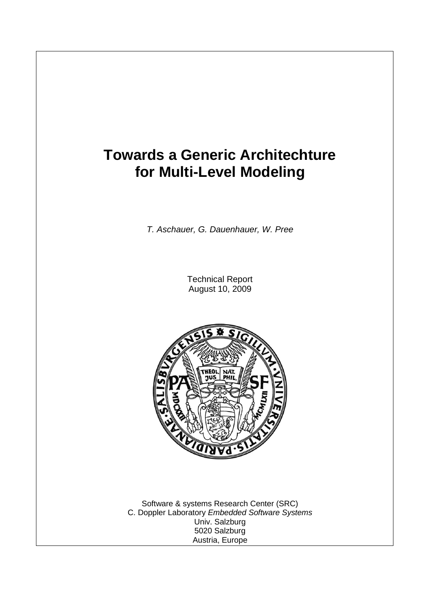# **Towards a Generic Architechture for Multi-Level Modeling**

*T. Aschauer, G. Dauenhauer, W. Pree*

Technical Report August 10, 2009



Software & systems Research Center (SRC) C. Doppler Laboratory *Embedded Software Systems* Univ. Salzburg 5020 Salzburg Austria, Europe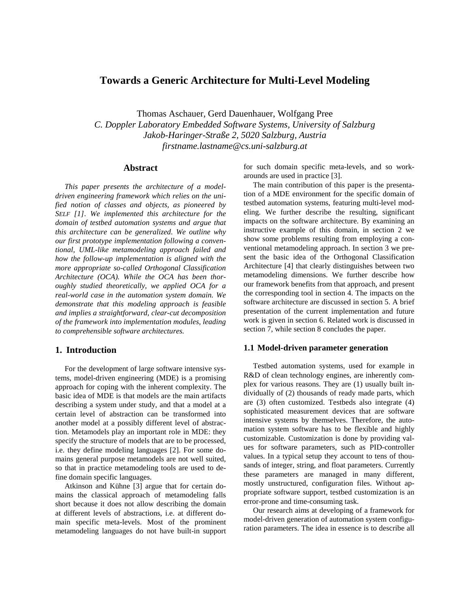## **Towards a Generic Architecture for Multi-Level Modeling**

Thomas Aschauer, Gerd Dauenhauer, Wolfgang Pree *C. Doppler Laboratory Embedded Software Systems, University of Salzburg Jakob-Haringer-Straße 2, 5020 Salzburg, Austria firstname.lastname@cs.uni-salzburg.at* 

## **Abstract**

*This paper presents the architecture of a modeldriven engineering framework which relies on the unified notion of classes and objects, as pioneered by SELF [1]. We implemented this architecture for the domain of testbed automation systems and argue that this architecture can be generalized. We outline why our first prototype implementation following a conventional, UML-like metamodeling approach failed and how the follow-up implementation is aligned with the more appropriate so-called Orthogonal Classification Architecture (OCA). While the OCA has been thoroughly studied theoretically, we applied OCA for a real-world case in the automation system domain. We demonstrate that this modeling approach is feasible and implies a straightforward, clear-cut decomposition of the framework into implementation modules, leading to comprehensible software architectures.*

## **1. Introduction**

For the development of large software intensive systems, model-driven engineering (MDE) is a promising approach for coping with the inherent complexity. The basic idea of MDE is that models are the main artifacts describing a system under study, and that a model at a certain level of abstraction can be transformed into another model at a possibly different level of abstraction. Metamodels play an important role in MDE: they specify the structure of models that are to be processed, i.e. they define modeling languages [2]. For some domains general purpose metamodels are not well suited, so that in practice metamodeling tools are used to define domain specific languages.

Atkinson and Kühne [3] argue that for certain domains the classical approach of metamodeling falls short because it does not allow describing the domain at different levels of abstractions, i.e. at different domain specific meta-levels. Most of the prominent metamodeling languages do not have built-in support for such domain specific meta-levels, and so workarounds are used in practice [3].

The main contribution of this paper is the presentation of a MDE environment for the specific domain of testbed automation systems, featuring multi-level modeling. We further describe the resulting, significant impacts on the software architecture. By examining an instructive example of this domain, in section 2 we show some problems resulting from employing a conventional metamodeling approach. In section 3 we present the basic idea of the Orthogonal Classification Architecture [4] that clearly distinguishes between two metamodeling dimensions. We further describe how our framework benefits from that approach, and present the corresponding tool in section 4. The impacts on the software architecture are discussed in section 5. A brief presentation of the current implementation and future work is given in section 6. Related work is discussed in section 7, while section 8 concludes the paper.

#### **1.1 Model-driven parameter generation**

Testbed automation systems, used for example in R&D of clean technology engines, are inherently complex for various reasons. They are (1) usually built individually of (2) thousands of ready made parts, which are (3) often customized. Testbeds also integrate (4) sophisticated measurement devices that are software intensive systems by themselves. Therefore, the automation system software has to be flexible and highly customizable. Customization is done by providing values for software parameters, such as PID-controller values. In a typical setup they account to tens of thousands of integer, string, and float parameters. Currently these parameters are managed in many different, mostly unstructured, configuration files. Without appropriate software support, testbed customization is an error-prone and time-consuming task.

Our research aims at developing of a framework for model-driven generation of automation system configuration parameters. The idea in essence is to describe all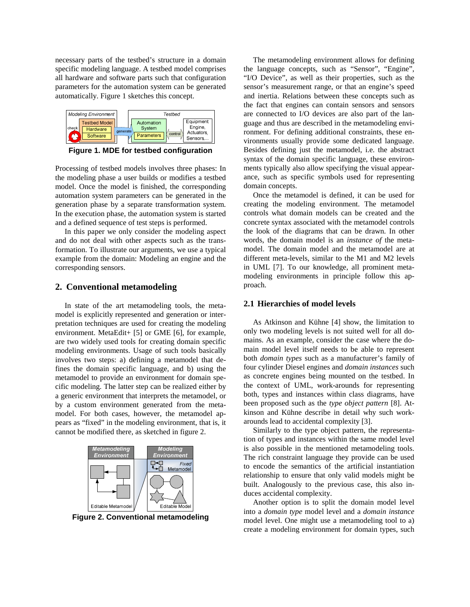necessary parts of the testbed's structure in a domain specific modeling language. A testbed model comprises all hardware and software parts such that configuration parameters for the automation system can be generated automatically. Figure 1 sketches this concept.



**Figure 1. MDE for testbed configuration** 

Processing of testbed models involves three phases: In the modeling phase a user builds or modifies a testbed model. Once the model is finished, the corresponding automation system parameters can be generated in the generation phase by a separate transformation system. In the execution phase, the automation system is started and a defined sequence of test steps is performed.

In this paper we only consider the modeling aspect and do not deal with other aspects such as the transformation. To illustrate our arguments, we use a typical example from the domain: Modeling an engine and the corresponding sensors.

## **2. Conventional metamodeling**

In state of the art metamodeling tools, the metamodel is explicitly represented and generation or interpretation techniques are used for creating the modeling environment. MetaEdit+ [5] or GME [6], for example, are two widely used tools for creating domain specific modeling environments. Usage of such tools basically involves two steps: a) defining a metamodel that defines the domain specific language, and b) using the metamodel to provide an environment for domain specific modeling. The latter step can be realized either by a generic environment that interprets the metamodel, or by a custom environment generated from the metamodel. For both cases, however, the metamodel appears as "fixed" in the modeling environment, that is, it cannot be modified there, as sketched in figure 2.



**Figure 2. Conventional metamodeling** 

The metamodeling environment allows for defining the language concepts, such as "Sensor", "Engine", "I/O Device", as well as their properties, such as the sensor's measurement range, or that an engine's speed and inertia. Relations between these concepts such as the fact that engines can contain sensors and sensors are connected to I/O devices are also part of the language and thus are described in the metamodeling environment. For defining additional constraints, these environments usually provide some dedicated language. Besides defining just the metamodel, i.e. the abstract syntax of the domain specific language, these environments typically also allow specifying the visual appearance, such as specific symbols used for representing domain concepts.

Once the metamodel is defined, it can be used for creating the modeling environment. The metamodel controls what domain models can be created and the concrete syntax associated with the metamodel controls the look of the diagrams that can be drawn. In other words, the domain model is an *instance of* the metamodel. The domain model and the metamodel are at different meta-levels, similar to the M1 and M2 levels in UML [7]. To our knowledge, all prominent metamodeling environments in principle follow this approach.

#### **2.1 Hierarchies of model levels**

As Atkinson and Kühne [4] show, the limitation to only two modeling levels is not suited well for all domains. As an example, consider the case where the domain model level itself needs to be able to represent both *domain types* such as a manufacturer's family of four cylinder Diesel engines and *domain instances* such as concrete engines being mounted on the testbed. In the context of UML, work-arounds for representing both, types and instances within class diagrams, have been proposed such as the *type object pattern* [8]. Atkinson and Kühne describe in detail why such workarounds lead to accidental complexity [3].

Similarly to the type object pattern, the representation of types and instances within the same model level is also possible in the mentioned metamodeling tools. The rich constraint language they provide can be used to encode the semantics of the artificial instantiation relationship to ensure that only valid models might be built. Analogously to the previous case, this also induces accidental complexity.

Another option is to split the domain model level into a *domain type* model level and a *domain instance* model level. One might use a metamodeling tool to a) create a modeling environment for domain types, such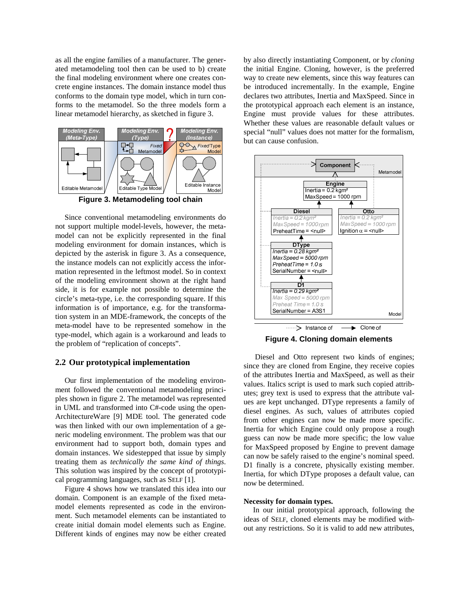as all the engine families of a manufacturer. The generated metamodeling tool then can be used to b) create the final modeling environment where one creates concrete engine instances. The domain instance model thus conforms to the domain type model, which in turn conforms to the metamodel. So the three models form a linear metamodel hierarchy, as sketched in figure 3.



Since conventional metamodeling environments do not support multiple model-levels, however, the metamodel can not be explicitly represented in the final modeling environment for domain instances, which is depicted by the asterisk in figure 3. As a consequence, the instance models can not explicitly access the information represented in the leftmost model. So in context of the modeling environment shown at the right hand side, it is for example not possible to determine the circle's meta-type, i.e. the corresponding square. If this information is of importance, e.g. for the transformation system in an MDE-framework, the concepts of the meta-model have to be represented somehow in the type-model, which again is a workaround and leads to the problem of "replication of concepts".

## **2.2 Our prototypical implementation**

Our first implementation of the modeling environment followed the conventional metamodeling principles shown in figure 2. The metamodel was represented in UML and transformed into C#-code using the open-ArchitectureWare [9] MDE tool. The generated code was then linked with our own implementation of a generic modeling environment. The problem was that our environment had to support both, domain types and domain instances. We sidestepped that issue by simply treating them as *technically the same kind of things*. This solution was inspired by the concept of prototypical programming languages, such as SELF [1].

Figure 4 shows how we translated this idea into our domain. Component is an example of the fixed metamodel elements represented as code in the environment. Such metamodel elements can be instantiated to create initial domain model elements such as Engine. Different kinds of engines may now be either created

by also directly instantiating Component, or by *cloning* the initial Engine. Cloning, however, is the preferred way to create new elements, since this way features can be introduced incrementally. In the example, Engine declares two attributes, Inertia and MaxSpeed. Since in the prototypical approach each element is an instance, Engine must provide values for these attributes. Whether these values are reasonable default values or special "null" values does not matter for the formalism, but can cause confusion.



**Figure 4. Cloning domain elements** 

 Diesel and Otto represent two kinds of engines; since they are cloned from Engine, they receive copies of the attributes Inertia and MaxSpeed, as well as their values. Italics script is used to mark such copied attributes; grey text is used to express that the attribute values are kept unchanged. DType represents a family of diesel engines. As such, values of attributes copied from other engines can now be made more specific. Inertia for which Engine could only propose a rough guess can now be made more specific; the low value for MaxSpeed proposed by Engine to prevent damage can now be safely raised to the engine's nominal speed. D1 finally is a concrete, physically existing member. Inertia, for which DType proposes a default value, can now be determined.

#### **Necessity for domain types.**

In our initial prototypical approach, following the ideas of SELF, cloned elements may be modified without any restrictions. So it is valid to add new attributes,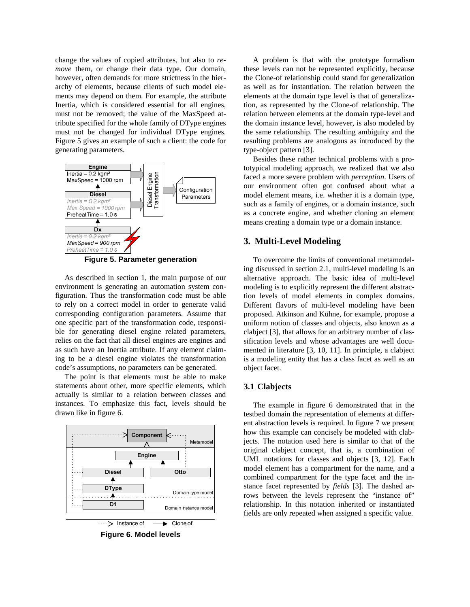change the values of copied attributes, but also to *remove* them, or change their data type. Our domain, however, often demands for more strictness in the hierarchy of elements, because clients of such model elements may depend on them. For example, the attribute Inertia, which is considered essential for all engines, must not be removed; the value of the MaxSpeed attribute specified for the whole family of DType engines must not be changed for individual DType engines. Figure 5 gives an example of such a client: the code for generating parameters.



**Figure 5. Parameter generation** 

As described in section 1, the main purpose of our environment is generating an automation system configuration. Thus the transformation code must be able to rely on a correct model in order to generate valid corresponding configuration parameters. Assume that one specific part of the transformation code, responsible for generating diesel engine related parameters, relies on the fact that all diesel engines are engines and as such have an Inertia attribute. If any element claiming to be a diesel engine violates the transformation code's assumptions, no parameters can be generated.

The point is that elements must be able to make statements about other, more specific elements, which actually is similar to a relation between classes and instances. To emphasize this fact, levels should be drawn like in figure 6.



**Figure 6. Model levels** 

A problem is that with the prototype formalism these levels can not be represented explicitly, because the Clone-of relationship could stand for generalization as well as for instantiation. The relation between the elements at the domain type level is that of generalization, as represented by the Clone-of relationship. The relation between elements at the domain type-level and the domain instance level, however, is also modeled by the same relationship. The resulting ambiguity and the resulting problems are analogous as introduced by the type-object pattern [3].

Besides these rather technical problems with a prototypical modeling approach, we realized that we also faced a more severe problem with *perception*. Users of our environment often got confused about what a model element means, i.e. whether it is a domain type, such as a family of engines, or a domain instance, such as a concrete engine, and whether cloning an element means creating a domain type or a domain instance.

## **3. Multi-Level Modeling**

To overcome the limits of conventional metamodeling discussed in section 2.1, multi-level modeling is an alternative approach. The basic idea of multi-level modeling is to explicitly represent the different abstraction levels of model elements in complex domains. Different flavors of multi-level modeling have been proposed. Atkinson and Kühne, for example, propose a uniform notion of classes and objects, also known as a clabject [3], that allows for an arbitrary number of classification levels and whose advantages are well documented in literature [3, 10, 11]. In principle, a clabject is a modeling entity that has a class facet as well as an object facet.

## **3.1 Clabjects**

The example in figure 6 demonstrated that in the testbed domain the representation of elements at different abstraction levels is required. In figure 7 we present how this example can concisely be modeled with clabjects. The notation used here is similar to that of the original clabject concept, that is, a combination of UML notations for classes and objects [3, 12]. Each model element has a compartment for the name, and a combined compartment for the type facet and the instance facet represented by *fields* [3]. The dashed arrows between the levels represent the "instance of" relationship. In this notation inherited or instantiated fields are only repeated when assigned a specific value.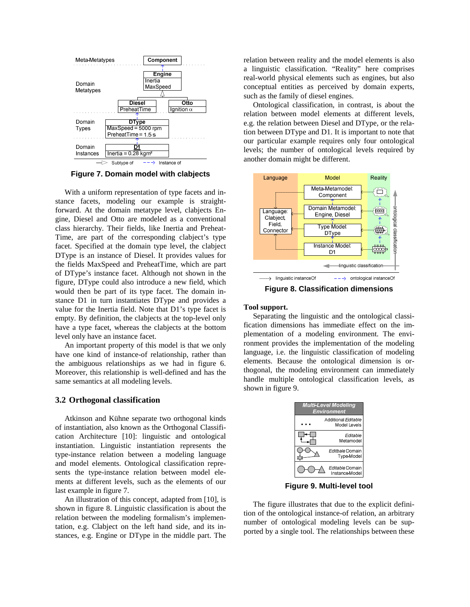

**Figure 7. Domain model with clabjects** 

With a uniform representation of type facets and instance facets, modeling our example is straightforward. At the domain metatype level, clabjects Engine, Diesel and Otto are modeled as a conventional class hierarchy. Their fields, like Inertia and Preheat-Time, are part of the corresponding clabject's type facet. Specified at the domain type level, the clabject DType is an instance of Diesel. It provides values for the fields MaxSpeed and PreheatTime, which are part of DType's instance facet. Although not shown in the figure, DType could also introduce a new field, which would then be part of its type facet. The domain instance D1 in turn instantiates DType and provides a value for the Inertia field. Note that D1's type facet is empty. By definition, the clabjects at the top-level only have a type facet, whereas the clabjects at the bottom level only have an instance facet.

An important property of this model is that we only have one kind of instance-of relationship, rather than the ambiguous relationships as we had in figure 6. Moreover, this relationship is well-defined and has the same semantics at all modeling levels.

#### **3.2 Orthogonal classification**

Atkinson and Kühne separate two orthogonal kinds of instantiation, also known as the Orthogonal Classification Architecture [10]: linguistic and ontological instantiation. Linguistic instantiation represents the type-instance relation between a modeling language and model elements. Ontological classification represents the type-instance relation between model elements at different levels, such as the elements of our last example in figure 7.

An illustration of this concept, adapted from [10], is shown in figure 8. Linguistic classification is about the relation between the modeling formalism's implementation, e.g. Clabject on the left hand side, and its instances, e.g. Engine or DType in the middle part. The relation between reality and the model elements is also a linguistic classification. "Reality" here comprises real-world physical elements such as engines, but also conceptual entities as perceived by domain experts, such as the family of diesel engines.

Ontological classification, in contrast, is about the relation between model elements at different levels, e.g. the relation between Diesel and DType, or the relation between DType and D1. It is important to note that our particular example requires only four ontological levels; the number of ontological levels required by another domain might be different.



**Figure 8. Classification dimensions** 

#### **Tool support.**

Separating the linguistic and the ontological classification dimensions has immediate effect on the implementation of a modeling environment. The environment provides the implementation of the modeling language, i.e. the linguistic classification of modeling elements. Because the ontological dimension is orthogonal, the modeling environment can immediately handle multiple ontological classification levels, as shown in figure 9.

| <b>Multi-Level Modeling</b><br><b>Environment</b> |                                     |
|---------------------------------------------------|-------------------------------------|
|                                                   | Additional Editable<br>Model Levels |
|                                                   | Editable<br>Metamodel               |
|                                                   | Editbale Domain<br>Type-Model       |
|                                                   | Editable Domain<br>Instance-Model   |

**Figure 9. Multi-level tool** 

The figure illustrates that due to the explicit definition of the ontological instance-of relation, an arbitrary number of ontological modeling levels can be supported by a single tool. The relationships between these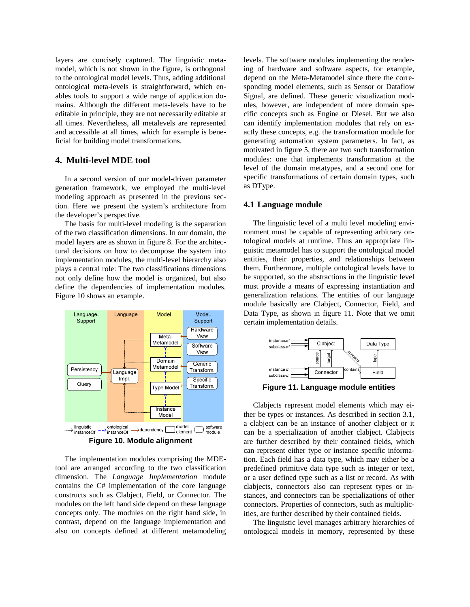layers are concisely captured. The linguistic metamodel, which is not shown in the figure, is orthogonal to the ontological model levels. Thus, adding additional ontological meta-levels is straightforward, which enables tools to support a wide range of application domains. Although the different meta-levels have to be editable in principle, they are not necessarily editable at all times. Nevertheless, all metalevels are represented and accessible at all times, which for example is beneficial for building model transformations.

## **4. Multi-level MDE tool**

In a second version of our model-driven parameter generation framework, we employed the multi-level modeling approach as presented in the previous section. Here we present the system's architecture from the developer's perspective.

The basis for multi-level modeling is the separation of the two classification dimensions. In our domain, the model layers are as shown in figure 8. For the architectural decisions on how to decompose the system into implementation modules, the multi-level hierarchy also plays a central role: The two classifications dimensions not only define how the model is organized, but also define the dependencies of implementation modules. Figure 10 shows an example.



The implementation modules comprising the MDEtool are arranged according to the two classification dimension. The *Language Implementation* module contains the C# implementation of the core language constructs such as Clabject, Field, or Connector. The modules on the left hand side depend on these language concepts only. The modules on the right hand side, in contrast, depend on the language implementation and also on concepts defined at different metamodeling

levels. The software modules implementing the rendering of hardware and software aspects, for example, depend on the Meta-Metamodel since there the corresponding model elements, such as Sensor or Dataflow Signal, are defined. These generic visualization modules, however, are independent of more domain specific concepts such as Engine or Diesel. But we also can identify implementation modules that rely on exactly these concepts, e.g. the transformation module for generating automation system parameters. In fact, as motivated in figure 5, there are two such transformation modules: one that implements transformation at the level of the domain metatypes, and a second one for specific transformations of certain domain types, such as DType.

#### **4.1 Language module**

The linguistic level of a multi level modeling environment must be capable of representing arbitrary ontological models at runtime. Thus an appropriate linguistic metamodel has to support the ontological model entities, their properties, and relationships between them. Furthermore, multiple ontological levels have to be supported, so the abstractions in the linguistic level must provide a means of expressing instantiation and generalization relations. The entities of our language module basically are Clabject, Connector, Field, and Data Type, as shown in figure 11. Note that we omit certain implementation details.



**Figure 11. Language module entities** 

Clabjects represent model elements which may either be types or instances. As described in section 3.1, a clabject can be an instance of another clabject or it can be a specialization of another clabject. Clabjects are further described by their contained fields, which can represent either type or instance specific information. Each field has a data type, which may either be a predefined primitive data type such as integer or text, or a user defined type such as a list or record. As with clabjects, connectors also can represent types or instances, and connectors can be specializations of other connectors. Properties of connectors, such as multiplicities, are further described by their contained fields.

The linguistic level manages arbitrary hierarchies of ontological models in memory, represented by these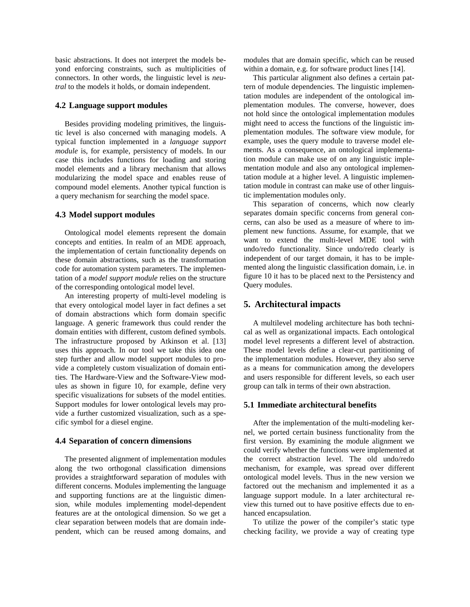basic abstractions. It does not interpret the models beyond enforcing constraints, such as multiplicities of connectors. In other words, the linguistic level is *neutral* to the models it holds, or domain independent.

## **4.2 Language support modules**

Besides providing modeling primitives, the linguistic level is also concerned with managing models. A typical function implemented in a *language support module* is, for example, persistency of models. In our case this includes functions for loading and storing model elements and a library mechanism that allows modularizing the model space and enables reuse of compound model elements. Another typical function is a query mechanism for searching the model space.

## **4.3 Model support modules**

Ontological model elements represent the domain concepts and entities. In realm of an MDE approach, the implementation of certain functionality depends on these domain abstractions, such as the transformation code for automation system parameters. The implementation of a *model support module* relies on the structure of the corresponding ontological model level.

An interesting property of multi-level modeling is that every ontological model layer in fact defines a set of domain abstractions which form domain specific language. A generic framework thus could render the domain entities with different, custom defined symbols. The infrastructure proposed by Atkinson et al. [13] uses this approach. In our tool we take this idea one step further and allow model support modules to provide a completely custom visualization of domain entities. The Hardware-View and the Software-View modules as shown in figure 10, for example, define very specific visualizations for subsets of the model entities. Support modules for lower ontological levels may provide a further customized visualization, such as a specific symbol for a diesel engine.

#### **4.4 Separation of concern dimensions**

The presented alignment of implementation modules along the two orthogonal classification dimensions provides a straightforward separation of modules with different concerns. Modules implementing the language and supporting functions are at the linguistic dimension, while modules implementing model-dependent features are at the ontological dimension. So we get a clear separation between models that are domain independent, which can be reused among domains, and

modules that are domain specific, which can be reused within a domain, e.g. for software product lines [14].

This particular alignment also defines a certain pattern of module dependencies. The linguistic implementation modules are independent of the ontological implementation modules. The converse, however, does not hold since the ontological implementation modules might need to access the functions of the linguistic implementation modules. The software view module, for example, uses the query module to traverse model elements. As a consequence, an ontological implementation module can make use of on any linguistic implementation module and also any ontological implementation module at a higher level. A linguistic implementation module in contrast can make use of other linguistic implementation modules only.

This separation of concerns, which now clearly separates domain specific concerns from general concerns, can also be used as a measure of where to implement new functions. Assume, for example, that we want to extend the multi-level MDE tool with undo/redo functionality. Since undo/redo clearly is independent of our target domain, it has to be implemented along the linguistic classification domain, i.e. in figure 10 it has to be placed next to the Persistency and Query modules.

#### **5. Architectural impacts**

A multilevel modeling architecture has both technical as well as organizational impacts. Each ontological model level represents a different level of abstraction. These model levels define a clear-cut partitioning of the implementation modules. However, they also serve as a means for communication among the developers and users responsible for different levels, so each user group can talk in terms of their own abstraction.

#### **5.1 Immediate architectural benefits**

After the implementation of the multi-modeling kernel, we ported certain business functionality from the first version. By examining the module alignment we could verify whether the functions were implemented at the correct abstraction level. The old undo/redo mechanism, for example, was spread over different ontological model levels. Thus in the new version we factored out the mechanism and implemented it as a language support module. In a later architectural review this turned out to have positive effects due to enhanced encapsulation.

To utilize the power of the compiler's static type checking facility, we provide a way of creating type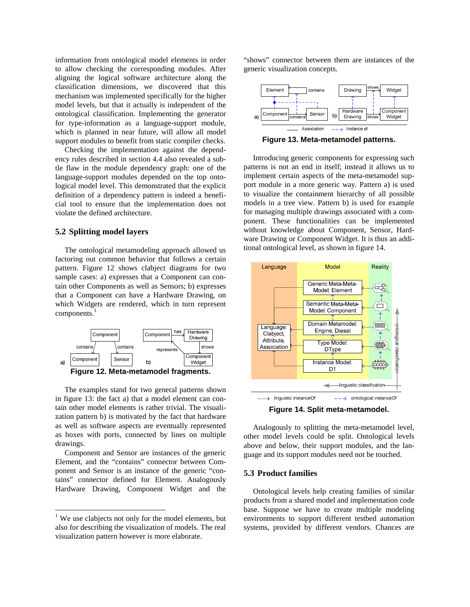information from ontological model elements in order to allow checking the corresponding modules. After aligning the logical software architecture along the classification dimensions, we discovered that this mechanism was implemented specifically for the higher model levels, but that it actually is independent of the ontological classification. Implementing the generator for type-information as a language-support module, which is planned in near future, will allow all model support modules to benefit from static compiler checks.

Checking the implementation against the dependency rules described in section 4.4 also revealed a subtle flaw in the module dependency graph: one of the language-support modules depended on the top ontological model level. This demonstrated that the explicit definition of a dependency pattern is indeed a beneficial tool to ensure that the implementation does not violate the defined architecture.

## **5.2 Splitting model layers**

The ontological metamodeling approach allowed us factoring out common behavior that follows a certain pattern. Figure 12 shows clabject diagrams for two sample cases: a) expresses that a Component can contain other Components as well as Sensors; b) expresses that a Component can have a Hardware Drawing, on which Widgets are rendered, which in turn represent components.<sup>1</sup>



The examples stand for two general patterns shown in figure 13: the fact a) that a model element can contain other model elements is rather trivial. The visualization pattern b) is motivated by the fact that hardware as well as software aspects are eventually represented as boxes with ports, connected by lines on multiple drawings.

Component and Sensor are instances of the generic Element, and the "contains" connector between Component and Sensor is an instance of the generic "contains" connector defined for Element. Analogously Hardware Drawing, Component Widget and the

 $\overline{a}$ 

"shows" connector between them are instances of the generic visualization concepts.



**Figure 13. Meta-metamodel patterns.** 

Introducing generic components for expressing such patterns is not an end in itself; instead it allows us to implement certain aspects of the meta-metamodel support module in a more generic way. Pattern a) is used to visualize the containment hierarchy of all possible models in a tree view. Pattern b) is used for example for managing multiple drawings associated with a component. These functionalities can be implemented without knowledge about Component, Sensor, Hardware Drawing or Component Widget. It is thus an additional ontological level, as shown in figure 14.



Analogously to splitting the meta-metamodel level, other model levels could be split. Ontological levels above and below, their support modules, and the language and its support modules need not be touched.

#### **5.3 Product families**

Ontological levels help creating families of similar products from a shared model and implementation code base. Suppose we have to create multiple modeling environments to support different testbed automation systems, provided by different vendors. Chances are

<sup>&</sup>lt;sup>1</sup> We use clabjects not only for the model elements, but also for describing the visualization of models. The real visualization pattern however is more elaborate.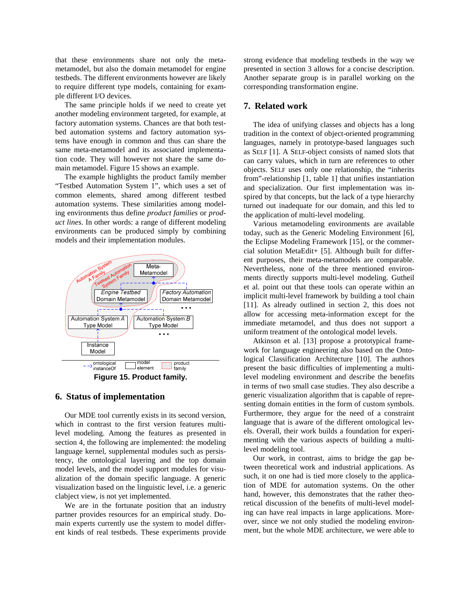that these environments share not only the metametamodel, but also the domain metamodel for engine testbeds. The different environments however are likely to require different type models, containing for example different I/O devices.

The same principle holds if we need to create yet another modeling environment targeted, for example, at factory automation systems. Chances are that both testbed automation systems and factory automation systems have enough in common and thus can share the same meta-metamodel and its associated implementation code. They will however not share the same domain metamodel. Figure 15 shows an example.

The example highlights the product family member "Testbed Automation System 1", which uses a set of common elements, shared among different testbed automation systems. These similarities among modeling environments thus define *product families* or *product lines*. In other words: a range of different modeling environments can be produced simply by combining models and their implementation modules.



### **6. Status of implementation**

Our MDE tool currently exists in its second version, which in contrast to the first version features multilevel modeling. Among the features as presented in section 4, the following are implemented: the modeling language kernel, supplemental modules such as persistency, the ontological layering and the top domain model levels, and the model support modules for visualization of the domain specific language. A generic visualization based on the linguistic level, i.e. a generic clabject view, is not yet implemented.

We are in the fortunate position that an industry partner provides resources for an empirical study. Domain experts currently use the system to model different kinds of real testbeds. These experiments provide strong evidence that modeling testbeds in the way we presented in section 3 allows for a concise description. Another separate group is in parallel working on the corresponding transformation engine.

## **7. Related work**

The idea of unifying classes and objects has a long tradition in the context of object-oriented programming languages, namely in prototype-based languages such as SELF [1]. A SELF-object consists of named slots that can carry values, which in turn are references to other objects. SELF uses only one relationship, the "inherits from"-relationship [1, table 1] that unifies instantiation and specialization. Our first implementation was inspired by that concepts, but the lack of a type hierarchy turned out inadequate for our domain, and this led to the application of multi-level modeling.

Various metamodeling environments are available today, such as the Generic Modeling Environment [6], the Eclipse Modeling Framework [15], or the commercial solution MetaEdit+ [5]. Although built for different purposes, their meta-metamodels are comparable. Nevertheless, none of the three mentioned environments directly supports multi-level modeling. Gutheil et al. point out that these tools can operate within an implicit multi-level framework by building a tool chain [11]. As already outlined in section 2, this does not allow for accessing meta-information except for the immediate metamodel, and thus does not support a uniform treatment of the ontological model levels.

Atkinson et al. [13] propose a prototypical framework for language engineering also based on the Ontological Classification Architecture [10]. The authors present the basic difficulties of implementing a multilevel modeling environment and describe the benefits in terms of two small case studies. They also describe a generic visualization algorithm that is capable of representing domain entities in the form of custom symbols. Furthermore, they argue for the need of a constraint language that is aware of the different ontological levels. Overall, their work builds a foundation for experimenting with the various aspects of building a multilevel modeling tool.

Our work, in contrast, aims to bridge the gap between theoretical work and industrial applications. As such, it on one had is tied more closely to the application of MDE for automation systems. On the other hand, however, this demonstrates that the rather theoretical discussion of the benefits of multi-level modeling can have real impacts in large applications. Moreover, since we not only studied the modeling environment, but the whole MDE architecture, we were able to